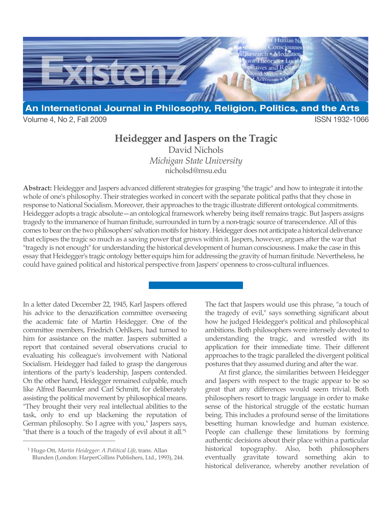

Volume 4, No 2, Fall 2009 **ISSN 1932-1066** 

## **Heidegger and Jaspers on the Tragic**

David Nichols *Michigan State University* nicholsd@msu.edu

**Abstract:** Heidegger and Jaspers advanced different strategies for grasping "the tragic" and how to integrate it into the whole of one's philosophy. Their strategies worked in concert with the separate political paths that they chose in response to National Socialism. Moreover, their approaches to the tragic illustrate different ontological commitments. Heidegger adopts a tragic absolute—an ontological framework whereby being itself remains tragic. But Jaspers assigns tragedy to the immanence of human finitude, surrounded in turn by a non-tragic source of transcendence. All of this comes to bear on the two philosophers' salvation motifs for history. Heidegger does not anticipate a historical deliverance that eclipses the tragic so much as a saving power that grows within it. Jaspers, however, argues after the war that "tragedy is not enough" for understanding the historical development of human consciousness. I make the case in this essay that Heidegger's tragic ontology better equips him for addressing the gravity of human finitude. Nevertheless, he could have gained political and historical perspective from Jaspers' openness to cross-cultural influences.

In a letter dated December 22, 1945, Karl Jaspers offered his advice to the denazification committee overseeing the academic fate of Martin Heidegger. One of the committee members, Friedrich Oehlkers, had turned to him for assistance on the matter. Jaspers submitted a report that contained several observations crucial to evaluating his colleague's involvement with National Socialism. Heidegger had failed to grasp the dangerous intentions of the party's leadership, Jaspers contended. On the other hand, Heidegger remained culpable, much like Alfred Baeumler and Carl Schmitt, for deliberately assisting the political movement by philosophical means. "They brought their very real intellectual abilities to the task, only to end up blackening the reputation of German philosophy. So I agree with you," Jaspers says, "that there is a touch of the tragedy of evil about it all."<sup>1</sup>

 $\overline{a}$ 

The fact that Jaspers would use this phrase, "a touch of the tragedy of evil," says something significant about how he judged Heidegger's political and philosophical ambitions. Both philosophers were intensely devoted to understanding the tragic, and wrestled with its application for their immediate time. Their different approaches to the tragic paralleled the divergent political postures that they assumed during and after the war.

At first glance, the similarities between Heidegger and Jaspers with respect to the tragic appear to be so great that any differences would seem trivial. Both philosophers resort to tragic language in order to make sense of the historical struggle of the ecstatic human being. This includes a profound sense of the limitations besetting human knowledge and human existence. People can challenge these limitations by forming authentic decisions about their place within a particular historical topography. Also, both philosophers eventually gravitate toward something akin to historical deliverance, whereby another revelation of

<sup>1</sup> Hugo Ott, *Martin Heidegger: A Political Life*, trans. Allan Blunden (London: HarperCollins Publishers, Ltd., 1993), 244.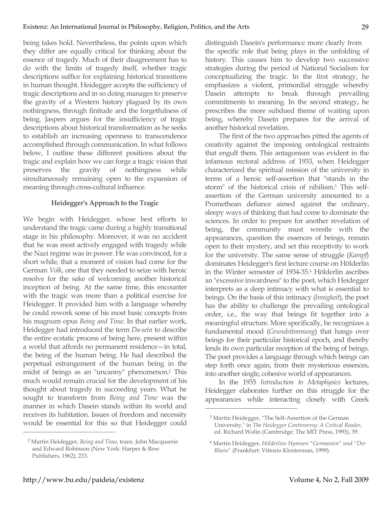being takes hold. Nevertheless, the points upon which they differ are equally critical for thinking about the essence of tragedy. Much of their disagreement has to do with the limits of tragedy itself, whether tragic descriptions suffice for explaining historical transitions in human thought. Heidegger accepts the sufficiency of tragic descriptions and in so doing manages to preserve the gravity of a Western history plagued by its own nothingness, through finitude and the forgetfulness of being. Jaspers argues for the insufficiency of tragic descriptions about historical transformation as he seeks to establish an increasing openness to transcendence accomplished through communication. In what follows below, I outline these different positions about the tragic and explain how we can forge a tragic vision that preserves the gravity of nothingness while simultaneously remaining open to the expansion of meaning through cross-cultural influence.

## **Heidegger's Approach to the Tragic**

We begin with Heidegger, whose best efforts to understand the tragic came during a highly transitional stage in his philosophy. Moreover, it was no accident that he was most actively engaged with tragedy while the Nazi regime was in power. He was convinced, for a short while, that a moment of vision had come for the German *Volk*, one that they needed to seize with heroic resolve for the sake of welcoming another historical inception of being. At the same time, this encounter with the tragic was more than a political exercise for Heidegger. It provided him with a language whereby he could rework some of his most basic concepts from his magnum opus *Being and Time*. In that earlier work, Heidegger had introduced the term *Da-sein* to describe the entire ecstatic process of being here, present within a world that affords no permanent residence—in total, the being of the human being. He had described the perpetual estrangement of the human being in the midst of beings as an "uncanny" phenomenon.2 This much would remain crucial for the development of his thought about tragedy in succeeding years. What he sought to transform from *Being and Time* was the manner in which Dasein stands within its world and receives its habitation. Issues of freedom and necessity would be essential for this so that Heidegger could distinguish Dasein's performance more clearly from the specific role that being plays in the unfolding of history. This causes him to develop two successive strategies during the period of National Socialism for conceptualizing the tragic. In the first strategy, he emphasizes a violent, primordial struggle whereby Dasein attempts to break through prevailing commitments to meaning. In the second strategy, he prescribes the more subdued theme of waiting upon being, whereby Dasein prepares for the arrival of another historical revelation.

The first of the two approaches pitted the agents of creativity against the imposing ontological restraints that engulf them. This antagonism was evident in the infamous rectoral address of 1933, when Heidegger characterized the spiritual mission of the university in terms of a heroic self-assertion that "stands in the storm" of the historical crisis of nihilism.3 This selfassertion of the German university amounted to a Promethean defiance aimed against the ordinary, sleepy ways of thinking that had come to dominate the sciences. In order to prepare for another revelation of being, the community must wrestle with the appearances, question the essences of beings, remain open to their mystery, and set this receptivity to work for the university. The same sense of struggle (*Kampf*) dominates Heidegger's first lecture course on Hölderlin in the Winter semester of 1934-35.4 Hölderlin ascribes an "excessive inwardness" to the poet, which Heidegger interprets as a deep intimacy with what is essential to beings. On the basis of this intimacy (*Innigkeit*), the poet has the ability to challenge the prevailing ontological order, i.e., the way that beings fit together into a meaningful structure. More specifically, he recognizes a fundamental mood (*Grundstimmung*) that hangs over beings for their particular historical epoch, and thereby lends its own particular reception of the being of beings. The poet provides a language through which beings can step forth once again, from their mysterious essences, into another single, cohesive world of appearances.

In the 1935 *Introduction to Metaphysics* lectures, Heidegger elaborates further on this struggle for the appearances while interacting closely with Greek

 $\overline{a}$ 

<sup>2</sup> Martin Heidegger, *Being and Time*, trans. John Macquarrie and Edward Robinson (New York: Harper & Row Publishers, 1962), 233.

<sup>3</sup> Martin Heidegger, "The Self-Assertion of the German University," in *The Heidegger Controversy: A Critical Reader*, ed. Richard Wolin (Cambridge: The MIT Press, 1993), 39.

<sup>4</sup> Martin Heidegger, *Hölderlins Hymnen "Germanien" und "Der Rhein"* (Frankfurt: Vittorio Klosterman, 1999).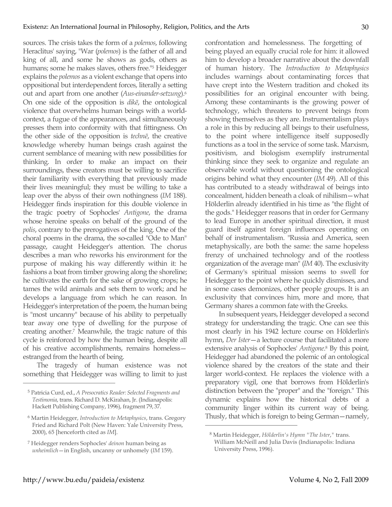sources. The crisis takes the form of a *polemos*, following Heraclitus' saying, "War (*polemos*) is the father of all and king of all, and some he shows as gods, others as humans; some he makes slaves, others free."5 Heidegger explains the *polemos* as a violent exchange that opens into oppositional but interdependent forces, literally a setting out and apart from one another (*Aus-einander-setzung*).6 On one side of the opposition is *dikē*, the ontological violence that overwhelms human beings with a worldcontext, a fugue of the appearances, and simultaneously presses them into conformity with that fittingness. On the other side of the opposition is *technē*, the creative knowledge whereby human beings crash against the current semblance of meaning with new possibilities for thinking. In order to make an impact on their surroundings, these creators must be willing to sacrifice their familiarity with everything that previously made their lives meaningful; they must be willing to take a leap over the abyss of their own nothingness (*IM* 188). Heidegger finds inspiration for this double violence in the tragic poetry of Sophocles' *Antigone*, the drama whose heroine speaks on behalf of the ground of the *polis*, contrary to the prerogatives of the king. One of the choral poems in the drama, the so-called "Ode to Man" passage, caught Heidegger's attention. The chorus describes a man who reworks his environment for the purpose of making his way differently within it: he fashions a boat from timber growing along the shoreline; he cultivates the earth for the sake of growing crops; he tames the wild animals and sets them to work; and he develops a language from which he can reason. In Heidegger's interpretation of the poem, the human being is "most uncanny" because of his ability to perpetually tear away one type of dwelling for the purpose of creating another.7 Meanwhile, the tragic nature of this cycle is reinforced by how the human being, despite all of his creative accomplishments, remains homeless estranged from the hearth of being.

The tragedy of human existence was not something that Heidegger was willing to limit to just

confrontation and homelessness. The forgetting of being played an equally crucial role for him: it allowed him to develop a broader narrative about the downfall of human history. The *Introduction to Metaphysics* includes warnings about contaminating forces that have crept into the Western tradition and choked its possibilities for an original encounter with being. Among these contaminants is the growing power of technology, which threatens to prevent beings from showing themselves as they are. Instrumentalism plays a role in this by reducing all beings to their usefulness, to the point where intelligence itself supposedly functions as a tool in the service of some task. Marxism, positivism, and biologism exemplify instrumental thinking since they seek to organize and regulate an observable world without questioning the ontological origins behind what they encounter (*IM* 49). All of this has contributed to a steady withdrawal of beings into concealment, hidden beneath a cloak of nihilism—what Hölderlin already identified in his time as "the flight of the gods." Heidegger reasons that in order for Germany to lead Europe in another spiritual direction, it must guard itself against foreign influences operating on behalf of instrumentalism. "Russia and America, seen metaphysically, are both the same: the same hopeless frenzy of unchained technology and of the rootless organization of the average man" (*IM* 40). The exclusivity of Germany's spiritual mission seems to swell for Heidegger to the point where he quickly dismisses, and in some cases demonizes, other people groups. It is an exclusivity that convinces him, more and more, that Germany shares a common fate with the Greeks.

In subsequent years, Heidegger developed a second strategy for understanding the tragic. One can see this most clearly in his 1942 lecture course on Hölderlin's hymn, *Der Ister*—a lecture course that facilitated a more extensive analysis of Sophocles' *Antigone*. <sup>8</sup> By this point, Heidegger had abandoned the polemic of an ontological violence shared by the creators of the state and their larger world-context. He replaces the violence with a preparatory vigil, one that borrows from Hölderlin's distinction between the "proper" and the "foreign." This dynamic explains how the historical debts of a community linger within its current way of being. Thusly, that which is foreign to being German—namely,

 $\overline{a}$ 

<sup>5</sup> Patricia Curd, ed., *A Presocratics Reader: Selected Fragments and Testimonia*, trans. Richard D. McKirahan, Jr. (Indianapolis: Hackett Publishing Company, 1996), fragment 79, 37.

<sup>6</sup> Martin Heidegger, *Introduction to Metaphysics*, trans. Gregory Fried and Richard Polt (New Haven: Yale University Press, 2000), 65 [henceforth cited as *IM*].

<sup>7</sup> Heidegger renders Sophocles' *deinon* human being as *unheimlich*—in English, uncanny or unhomely (*IM* 159).

<sup>8</sup> Martin Heidegger, *Hölderlin's Hymn "The Ister*,*"* trans. William McNeill and Julia Davis (Indianapolis: Indiana University Press, 1996).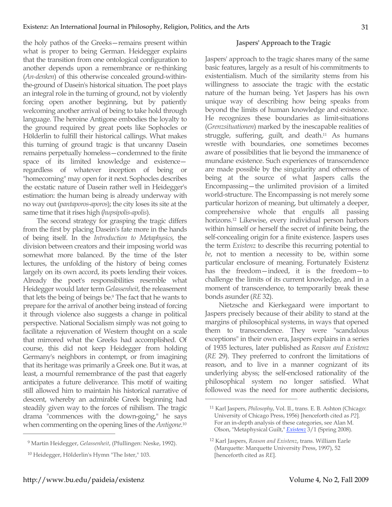31

the holy pathos of the Greeks—remains present within what is proper to being German. Heidegger explains that the transition from one ontological configuration to another depends upon a remembrance or re-thinking (*An-denken*) of this otherwise concealed ground-withinthe-ground of Dasein's historical situation. The poet plays an integral role in the turning of ground, not by violently forcing open another beginning, but by patiently welcoming another arrival of being to take hold through language. The heroine Antigone embodies the loyalty to the ground required by great poets like Sophocles or Hölderlin to fulfill their historical callings. What makes this turning of ground tragic is that uncanny Dasein remains perpetually homeless—condemned to the finite space of its limited knowledge and existence regardless of whatever inception of being or "homecoming" may open for it next. Sophocles describes the ecstatic nature of Dasein rather well in Heidegger's estimation: the human being is already underway with no way out (*pantaporos-aporos*); the city loses its site at the same time that it rises high (*hupsipolis-apolis*).

The second strategy for grasping the tragic differs from the first by placing Dasein's fate more in the hands of being itself. In the *Introduction to Metaphysics*, the division between creators and their imposing world was somewhat more balanced. By the time of the Ister lectures, the unfolding of the history of being comes largely on its own accord, its poets lending their voices. Already the poet's responsibilities resemble what Heidegger would later term *Gelassenheit*, the releasement that lets the being of beings be.9 The fact that he wants to prepare for the arrival of another being instead of forcing it through violence also suggests a change in political perspective. National Socialism simply was not going to facilitate a rejuvenation of Western thought on a scale that mirrored what the Greeks had accomplished. Of course, this did not keep Heidegger from holding Germany's neighbors in contempt, or from imagining that its heritage was primarily a Greek one. But it was, at least, a mournful remembrance of the past that eagerly anticipates a future deliverance. This motif of waiting still allowed him to maintain his historical narrative of descent, whereby an admirable Greek beginning had steadily given way to the forces of nihilism. The tragic drama "commences with the down-going," he says when commenting on the opening lines of the *Antigone*. 10

## **Jaspers' Approach to the Tragic**

Jaspers' approach to the tragic shares many of the same basic features, largely as a result of his commitments to existentialism. Much of the similarity stems from his willingness to associate the tragic with the ecstatic nature of the human being. Yet Jaspers has his own unique way of describing how being speaks from beyond the limits of human knowledge and existence. He recognizes these boundaries as limit-situations (*Grenzsituationen*) marked by the inescapable realities of struggle, suffering, guilt, and death.<sup>11</sup> As humans wrestle with boundaries, one sometimes becomes aware of possibilities that lie beyond the immanence of mundane existence. Such experiences of transcendence are made possible by the singularity and otherness of being at the source of what Jaspers calls the Encompassing—the unlimited provision of a limited world-structure. The Encompassing is not merely some particular horizon of meaning, but ultimately a deeper, comprehensive whole that engulfs all passing horizons.12 Likewise, every individual person harbors within himself or herself the secret of infinite being, the self-concealing origin for a finite existence. Jaspers uses the term *Existenz* to describe this recurring potential to *be*, not to mention a necessity to be, within some particular enclosure of meaning. Fortunately Existenz has the freedom—indeed, it is the freedom—to challenge the limits of its current knowledge, and in a moment of transcendence, to temporarily break these bonds asunder (*RE* 32).

Nietzsche and Kierkegaard were important to Jaspers precisely because of their ability to stand at the margins of philosophical systems, in ways that opened them to transcendence. They were "scandalous exceptions" in their own era, Jaspers explains in a series of 1935 lectures, later published as *Reason and Existenz* (*RE* 29). They preferred to confront the limitations of reason, and to live in a manner cognizant of its underlying abyss; the self-enclosed rationality of the philosophical system no longer satisfied. What followed was the need for more authentic decisions,

 $\overline{a}$ 

<sup>9</sup> Martin Heidegger, *Gelassenheit*, (Pfullingen: Neske, 1992).

<sup>10</sup> Heidegger, Hölderlin's Hymn "The Ister," 103.

<sup>11</sup> Karl Jaspers, *Philosophy*, Vol. II., trans. E. B. Ashton (Chicago: University of Chicago Press, 1956) [henceforth cited as *P2*]. For an in-depth analysis of these categories, see Alan M. Olson, "Metaphysical Guilt," *Existenz* 3/1 (Spring 2008).

<sup>12</sup> Karl Jaspers, *Reason and Existenz*, trans. William Earle (Marquette: Marquette University Press, 1997), 52 [henceforth cited as *RE*].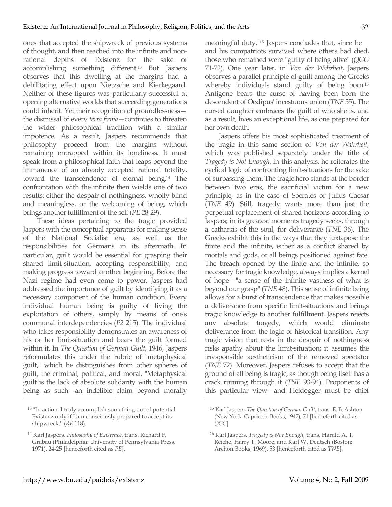ones that accepted the shipwreck of previous systems of thought, and then reached into the infinite and nonrational depths of Existenz for the sake of accomplishing something different. <sup>13</sup> But Jaspers observes that this dwelling at the margins had a debilitating effect upon Nietzsche and Kierkegaard. Neither of these figures was particularly successful at opening alternative worlds that succeeding generations could inherit. Yet their recognition of groundlessness the dismissal of every *terra firma*—continues to threaten the wider philosophical tradition with a similar impotence. As a result, Jaspers recommends that philosophy proceed from the margins without remaining entrapped within its loneliness. It must speak from a philosophical faith that leaps beyond the immanence of an already accepted rational totality, toward the transcendence of eternal being.14 The confrontation with the infinite then wields one of two results: either the despair of nothingness, wholly blind and meaningless, or the welcoming of being, which brings another fulfillment of the self (*PE* 28-29).

These ideas pertaining to the tragic provided Jaspers with the conceptual apparatus for making sense of the National Socialist era, as well as the responsibilities for Germans in its aftermath. In particular, guilt would be essential for grasping their shared limit-situation, accepting responsibility, and making progress toward another beginning. Before the Nazi regime had even come to power, Jaspers had addressed the importance of guilt by identifying it as a necessary component of the human condition. Every individual human being is guilty of living the exploitation of others, simply by means of one's communal interdependencies (*P2* 215). The individual who takes responsibility demonstrates an awareness of his or her limit-situation and bears the guilt formed within it. In *The Question of German Guilt*, 1946, Jaspers reformulates this under the rubric of "metaphysical guilt," which he distinguishes from other spheres of guilt, the criminal, political, and moral. "Metaphysical guilt is the lack of absolute solidarity with the human being as such—an indelible claim beyond morally meaningful duty."15 Jaspers concludes that, since he and his compatriots survived where others had died, those who remained were "guilty of being alive" (*QGG* 71-72). One year later, in *Von der Wahrheit*, Jaspers observes a parallel principle of guilt among the Greeks whereby individuals stand guilty of being born.16 Antigone bears the curse of having been born the descendent of Oedipus' incestuous union (*TNE* 55). The cursed daughter embraces the guilt of who she is, and as a result, lives an exceptional life, as one prepared for her own death.

Jaspers offers his most sophisticated treatment of the tragic in this same section of *Von der Wahrheit*, which was published separately under the title of *Tragedy is Not Enough*. In this analysis, he reiterates the cyclical logic of confronting limit-situations for the sake of surpassing them. The tragic hero stands at the border between two eras, the sacrificial victim for a new principle, as in the case of Socrates or Julius Caesar (*TNE* 49). Still, tragedy wants more than just the perpetual replacement of shared horizons according to Jaspers; in its greatest moments tragedy seeks, through a catharsis of the soul, for deliverance (*TNE* 36). The Greeks exhibit this in the ways that they juxtapose the finite and the infinite, either as a conflict shared by mortals and gods, or all beings positioned against fate. The breach opened by the finite and the infinite, so necessary for tragic knowledge, always implies a kernel of hope—"a sense of the infinite vastness of what is beyond our grasp" (*TNE* 48). This sense of infinite being allows for a burst of transcendence that makes possible a deliverance from specific limit-situations and brings tragic knowledge to another fulfillment. Jaspers rejects any absolute tragedy, which would eliminate deliverance from the logic of historical transition. Any tragic vision that rests in the despair of nothingness risks apathy about the limit-situation; it assumes the irresponsible aestheticism of the removed spectator (*TNE* 72). Moreover, Jaspers refuses to accept that the ground of all being is tragic, as though being itself has a crack running through it (*TNE* 93-94). Proponents of this particular view—and Heidegger must be chief

 $\overline{a}$ 

<sup>&</sup>lt;sup>13</sup> "In action, I truly accomplish something out of potential Existenz only if I am consciously prepared to accept its shipwreck." (*RE* 118).

<sup>14</sup> Karl Jaspers, *Philosophy of Existence*, trans. Richard F. Grabau (Philadelphia: University of Pennsylvania Press, 1971), 24-25 [henceforth cited as *PE*].

<sup>15</sup> Karl Jaspers, *The Question of German Guilt*, trans. E. B. Ashton (New York: Capricorn Books, 1947), 71 [henceforth cited as *QGG*].

<sup>16</sup> Karl Jaspers, *Tragedy is Not Enough*, trans. Harald A. T. Reiche, Harry T. Moore, and Karl W. Deutsch (Boston: Archon Books, 1969), 53 [henceforth cited as *TNE*].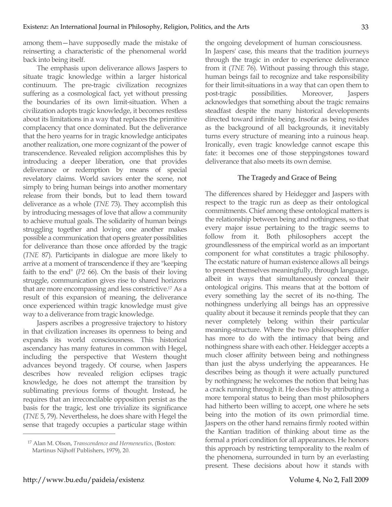among them—have supposedly made the mistake of reinserting a characteristic of the phenomenal world back into being itself.

The emphasis upon deliverance allows Jaspers to situate tragic knowledge within a larger historical continuum. The pre-tragic civilization recognizes suffering as a cosmological fact, yet without pressing the boundaries of its own limit-situation. When a civilization adopts tragic knowledge, it becomes restless about its limitations in a way that replaces the primitive complacency that once dominated. But the deliverance that the hero yearns for in tragic knowledge anticipates another realization, one more cognizant of the power of transcendence. Revealed religion accomplishes this by introducing a deeper liberation, one that provides deliverance or redemption by means of special revelatory claims. World saviors enter the scene, not simply to bring human beings into another momentary release from their bonds, but to lead them toward deliverance as a whole (*TNE* 73). They accomplish this by introducing messages of love that allow a community to achieve mutual goals. The solidarity of human beings struggling together and loving one another makes possible a communication that opens greater possibilities for deliverance than those once afforded by the tragic (*TNE* 87). Participants in dialogue are more likely to arrive at a moment of transcendence if they are "keeping faith to the end" (*P2* 66). On the basis of their loving struggle, communication gives rise to shared horizons that are more encompassing and less constrictive.17 As a result of this expansion of meaning, the deliverance once experienced within tragic knowledge must give way to a deliverance from tragic knowledge.

Jaspers ascribes a progressive trajectory to history in that civilization increases its openness to being and expands its world consciousness. This historical ascendancy has many features in common with Hegel, including the perspective that Western thought advances beyond tragedy. Of course, when Jaspers describes how revealed religion eclipses tragic knowledge, he does not attempt the transition by sublimating previous forms of thought. Instead, he requires that an irreconcilable opposition persist as the basis for the tragic, lest one trivialize its significance (*TNE* 5, 79). Nevertheless, he does share with Hegel the sense that tragedy occupies a particular stage within the ongoing development of human consciousness. In Jaspers' case, this means that the tradition journeys through the tragic in order to experience deliverance from it (*TNE* 76). Without passing through this stage, human beings fail to recognize and take responsibility for their limit-situations in a way that can open them to post-tragic possibilities. Moreover, Jaspers acknowledges that something about the tragic remains steadfast despite the many historical developments directed toward infinite being. Insofar as being resides as the background of all backgrounds, it inevitably turns every structure of meaning into a ruinous heap. Ironically, even tragic knowledge cannot escape this fate: it becomes one of those steppingstones toward deliverance that also meets its own demise.

## **The Tragedy and Grace of Being**

The differences shared by Heidegger and Jaspers with respect to the tragic run as deep as their ontological commitments. Chief among these ontological matters is the relationship between being and nothingness, so that every major issue pertaining to the tragic seems to follow from it. Both philosophers accept the groundlessness of the empirical world as an important component for what constitutes a tragic philosophy. The ecstatic nature of human existence allows all beings to present themselves meaningfully, through language, albeit in ways that simultaneously conceal their ontological origins. This means that at the bottom of every something lay the secret of its no-thing. The nothingness underlying all beings has an oppressive quality about it because it reminds people that they can never completely belong within their particular meaning-structure. Where the two philosophers differ has more to do with the intimacy that being and nothingness share with each other. Heidegger accepts a much closer affinity between being and nothingness than just the abyss underlying the appearances. He describes being as though it were actually punctured by nothingness; he welcomes the notion that being has a crack running through it. He does this by attributing a more temporal status to being than most philosophers had hitherto been willing to accept, one where he sets being into the motion of its own primordial time. Jaspers on the other hand remains firmly rooted within the Kantian tradition of thinking about time as the formal a priori condition for all appearances. He honors this approach by restricting temporality to the realm of the phenomena, surrounded in turn by an everlasting present. These decisions about how it stands with

<sup>17</sup> Alan M. Olson, *Transcendence and Hermeneutics*, (Boston: Martinus Nijhoff Publishers, 1979), 20.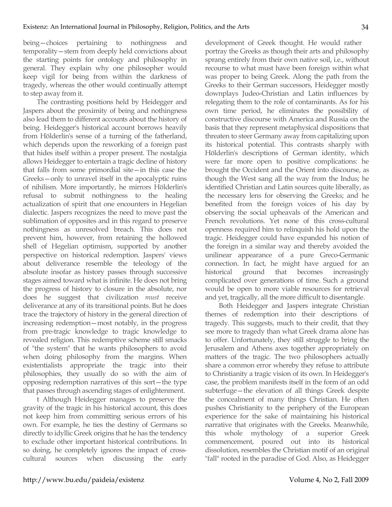being—choices pertaining to nothingness and temporality—stem from deeply held convictions about the starting points for ontology and philosophy in general. They explain why one philosopher would keep vigil for being from within the darkness of tragedy, whereas the other would continually attempt to step away from it.

The contrasting positions held by Heidegger and Jaspers about the proximity of being and nothingness also lead them to different accounts about the history of being. Heidegger's historical account borrows heavily from Hölderlin's sense of a turning of the fatherland, which depends upon the reworking of a foreign past that hides itself within a proper present. The nostalgia allows Heidegger to entertain a tragic decline of history that falls from some primordial site—in this case the Greeks—only to unravel itself in the apocalyptic ruins of nihilism. More importantly, he mirrors Hölderlin's refusal to submit nothingness to the healing actualization of spirit that one encounters in Hegelian dialectic. Jaspers recognizes the need to move past the sublimation of opposites and in this regard to preserve nothingness as unresolved breach. This does not prevent him, however, from retaining the hollowed shell of Hegelian optimism, supported by another perspective on historical redemption. Jaspers' views about deliverance resemble the teleology of the absolute insofar as history passes through successive stages aimed toward what is infinite. He does not bring the progress of history to closure in the absolute, nor does he suggest that civilization *must* receive deliverance at any of its transitional points. But he does trace the trajectory of history in the general direction of increasing redemption—most notably, in the progress from pre-tragic knowledge to tragic knowledge to revealed religion. This redemptive scheme still smacks of "the system" that he wants philosophers to avoid when doing philosophy from the margins. When existentialists appropriate the tragic into their philosophies, they usually do so with the aim of opposing redemption narratives of this sort—the type that passes through ascending stages of enlightenment.

t Although Heidegger manages to preserve the gravity of the tragic in his historical account, this does not keep him from committing serious errors of his own. For example, he ties the destiny of Germans so directly to idyllic Greek origins that he has the tendency to exclude other important historical contributions. In so doing, he completely ignores the impact of crosscultural sources when discussing the early development of Greek thought. He would rather portray the Greeks as though their arts and philosophy sprang entirely from their own native soil, i.e., without recourse to what must have been foreign within what was proper to being Greek. Along the path from the Greeks to their German successors, Heidegger mostly downplays Judeo-Christian and Latin influences by relegating them to the role of contaminants. As for his own time period, he eliminates the possibility of constructive discourse with America and Russia on the basis that they represent metaphysical dispositions that threaten to steer Germany away from capitalizing upon its historical potential. This contrasts sharply with Hölderlin's descriptions of German identity, which were far more open to positive complications: he brought the Occident and the Orient into discourse, as though the West sang all the way from the Indus; he identified Christian and Latin sources quite liberally, as the necessary lens for observing the Greeks; and he benefited from the foreign voices of his day by observing the social upheavals of the American and French revolutions. Yet none of this cross-cultural openness required him to relinquish his hold upon the tragic. Heidegger could have expanded his notion of the foreign in a similar way and thereby avoided the unilinear appearance of a pure Greco-Germanic connection. In fact, he might have argued for an historical ground that becomes increasingly complicated over generations of time. Such a ground would be open to more viable resources for retrieval and yet, tragically, all the more difficult to disentangle.

Both Heidegger and Jaspers integrate Christian themes of redemption into their descriptions of tragedy. This suggests, much to their credit, that they see more to tragedy than what Greek drama alone has to offer. Unfortunately, they still struggle to bring the Jerusalem and Athens axes together appropriately on matters of the tragic. The two philosophers actually share a common error whereby they refuse to attribute to Christianity a tragic vision of its own. In Heidegger's case, the problem manifests itself in the form of an odd subterfuge—the elevation of all things Greek despite the concealment of many things Christian. He often pushes Christianity to the periphery of the European experience for the sake of maintaining his historical narrative that originates with the Greeks. Meanwhile, this whole mythology of a superior Greek commencement, poured out into its historical dissolution, resembles the Christian motif of an original "fall" rooted in the paradise of God. Also, as Heidegger